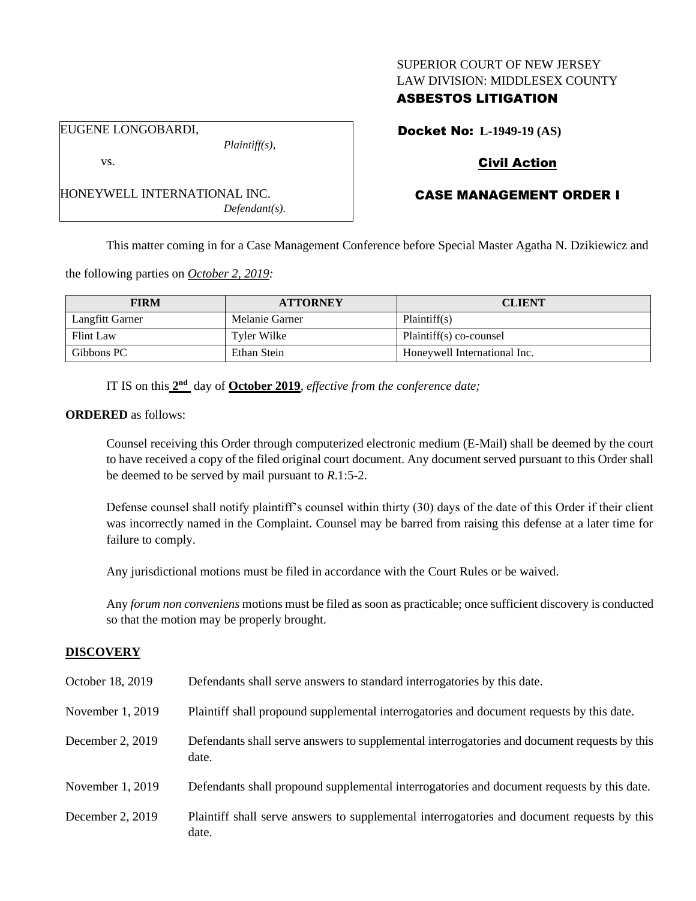### SUPERIOR COURT OF NEW JERSEY LAW DIVISION: MIDDLESEX COUNTY

## ASBESTOS LITIGATION

EUGENE LONGOBARDI,

vs.

HONEYWELL INTERNATIONAL INC. *Defendant(s).*

*Plaintiff(s),*

Docket No: **L-1949-19 (AS)**

## Civil Action

# CASE MANAGEMENT ORDER I

This matter coming in for a Case Management Conference before Special Master Agatha N. Dzikiewicz and

the following parties on *October 2, 2019:*

| <b>FIRM</b>      | <b>ATTORNEY</b> | <b>CLIENT</b>                |
|------------------|-----------------|------------------------------|
| Langfitt Garner  | Melanie Garner  | Plaintiff(s)                 |
| <b>Flint Law</b> | Tyler Wilke     | Plaintiff(s) co-counsel      |
| Gibbons PC       | Ethan Stein     | Honeywell International Inc. |

IT IS on this  $2<sup>nd</sup>$  day of **October 2019**, *effective from the conference date*;

### **ORDERED** as follows:

Counsel receiving this Order through computerized electronic medium (E-Mail) shall be deemed by the court to have received a copy of the filed original court document. Any document served pursuant to this Order shall be deemed to be served by mail pursuant to *R*.1:5-2.

Defense counsel shall notify plaintiff's counsel within thirty (30) days of the date of this Order if their client was incorrectly named in the Complaint. Counsel may be barred from raising this defense at a later time for failure to comply.

Any jurisdictional motions must be filed in accordance with the Court Rules or be waived.

Any *forum non conveniens* motions must be filed as soon as practicable; once sufficient discovery is conducted so that the motion may be properly brought.

## **DISCOVERY**

| October 18, 2019 | Defendants shall serve answers to standard interrogatories by this date.                              |
|------------------|-------------------------------------------------------------------------------------------------------|
| November 1, 2019 | Plaintiff shall propound supplemental interrogatories and document requests by this date.             |
| December 2, 2019 | Defendants shall serve answers to supplemental interrogatories and document requests by this<br>date. |
| November 1, 2019 | Defendants shall propound supplemental interrogatories and document requests by this date.            |
| December 2, 2019 | Plaintiff shall serve answers to supplemental interrogatories and document requests by this<br>date.  |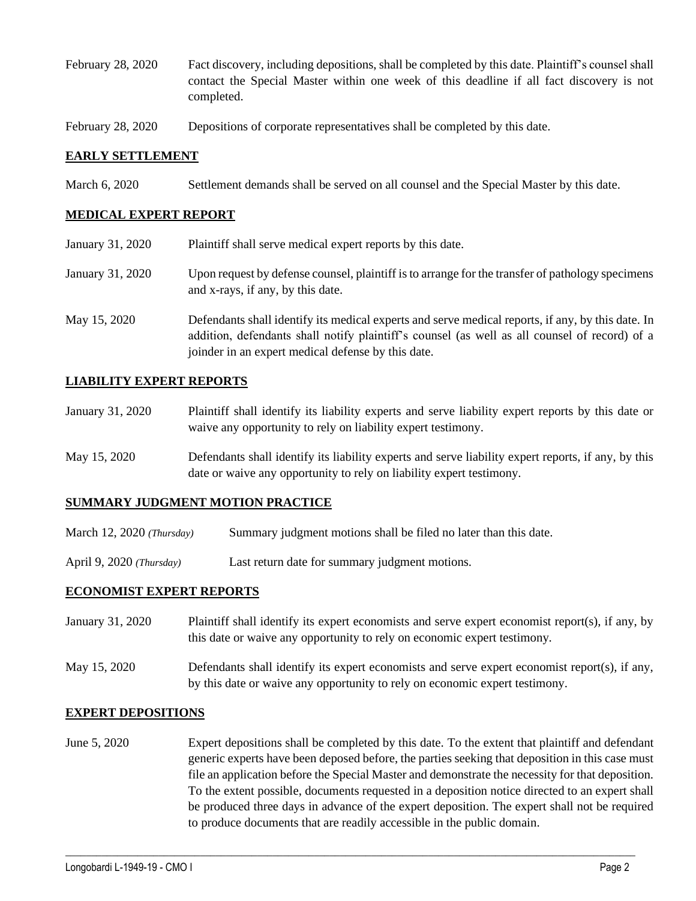- February 28, 2020 Fact discovery, including depositions, shall be completed by this date. Plaintiff's counsel shall contact the Special Master within one week of this deadline if all fact discovery is not completed.
- February 28, 2020 Depositions of corporate representatives shall be completed by this date.

### **EARLY SETTLEMENT**

March 6, 2020 Settlement demands shall be served on all counsel and the Special Master by this date.

### **MEDICAL EXPERT REPORT**

| January 31, 2020 | Plaintiff shall serve medical expert reports by this date.                                                                                                                                                                                               |
|------------------|----------------------------------------------------------------------------------------------------------------------------------------------------------------------------------------------------------------------------------------------------------|
| January 31, 2020 | Upon request by defense counsel, plaintiff is to arrange for the transfer of pathology specimens<br>and x-rays, if any, by this date.                                                                                                                    |
| May 15, 2020     | Defendants shall identify its medical experts and serve medical reports, if any, by this date. In<br>addition, defendants shall notify plaintiff's counsel (as well as all counsel of record) of a<br>joinder in an expert medical defense by this date. |

### **LIABILITY EXPERT REPORTS**

| January 31, 2020 | Plaintiff shall identify its liability experts and serve liability expert reports by this date or |
|------------------|---------------------------------------------------------------------------------------------------|
|                  | waive any opportunity to rely on liability expert testimony.                                      |

May 15, 2020 Defendants shall identify its liability experts and serve liability expert reports, if any, by this date or waive any opportunity to rely on liability expert testimony.

### **SUMMARY JUDGMENT MOTION PRACTICE**

March 12, 2020 *(Thursday)* Summary judgment motions shall be filed no later than this date.

April 9, 2020 *(Thursday)* Last return date for summary judgment motions.

### **ECONOMIST EXPERT REPORTS**

| January 31, 2020 | Plaintiff shall identify its expert economists and serve expert economist report(s), if any, by |
|------------------|-------------------------------------------------------------------------------------------------|
|                  | this date or waive any opportunity to rely on economic expert testimony.                        |

May 15, 2020 Defendants shall identify its expert economists and serve expert economist report(s), if any, by this date or waive any opportunity to rely on economic expert testimony.

### **EXPERT DEPOSITIONS**

June 5, 2020 Expert depositions shall be completed by this date. To the extent that plaintiff and defendant generic experts have been deposed before, the parties seeking that deposition in this case must file an application before the Special Master and demonstrate the necessity for that deposition. To the extent possible, documents requested in a deposition notice directed to an expert shall be produced three days in advance of the expert deposition. The expert shall not be required to produce documents that are readily accessible in the public domain.

 $\_$  , and the set of the set of the set of the set of the set of the set of the set of the set of the set of the set of the set of the set of the set of the set of the set of the set of the set of the set of the set of th